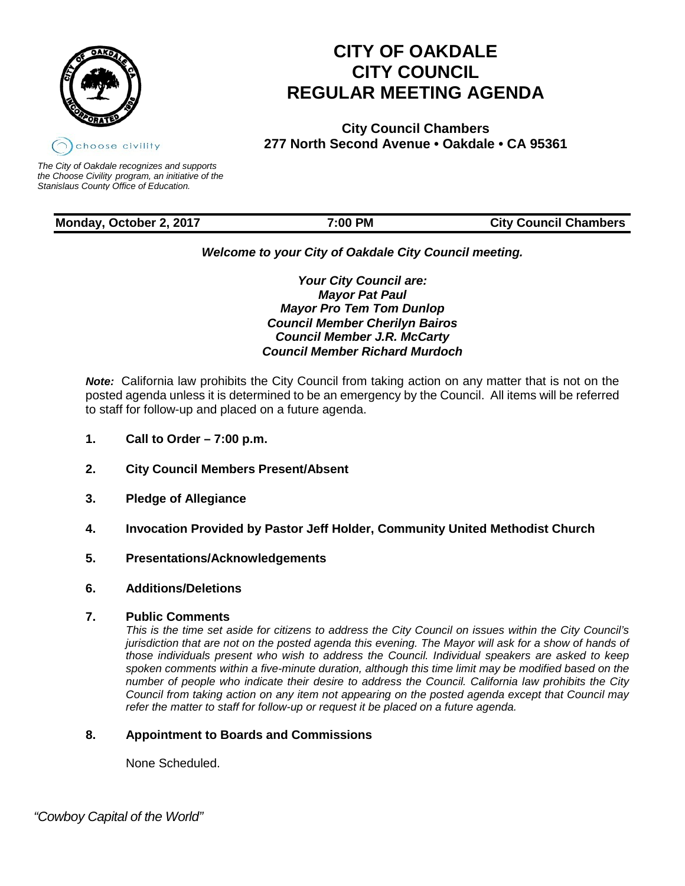

# **CITY OF OAKDALE CITY COUNCIL REGULAR MEETING AGENDA**

**City Council Chambers 277 North Second Avenue • Oakdale • CA 95361**

*The City of Oakdale recognizes and supports the Choose Civility program, an initiative of the Stanislaus County Office of Education.*

# **Monday, October 2, 2017 7:00 PM City Council Chambers**

*Welcome to your City of Oakdale City Council meeting.*

*Your City Council are: Mayor Pat Paul Mayor Pro Tem Tom Dunlop Council Member Cherilyn Bairos Council Member J.R. McCarty Council Member Richard Murdoch*

*Note:* California law prohibits the City Council from taking action on any matter that is not on the posted agenda unless it is determined to be an emergency by the Council. All items will be referred to staff for follow-up and placed on a future agenda.

- **1. Call to Order – 7:00 p.m.**
- **2. City Council Members Present/Absent**
- **3. Pledge of Allegiance**
- **4. Invocation Provided by Pastor Jeff Holder, Community United Methodist Church**
- **5. Presentations/Acknowledgements**
- **6. Additions/Deletions**

# **7. Public Comments**

*This is the time set aside for citizens to address the City Council on issues within the City Council's jurisdiction that are not on the posted agenda this evening. The Mayor will ask for a show of hands of those individuals present who wish to address the Council. Individual speakers are asked to keep spoken comments within a five-minute duration, although this time limit may be modified based on the number of people who indicate their desire to address the Council. California law prohibits the City Council from taking action on any item not appearing on the posted agenda except that Council may refer the matter to staff for follow-up or request it be placed on a future agenda.*

# **8. Appointment to Boards and Commissions**

None Scheduled.

 *"Cowboy Capital of the World"*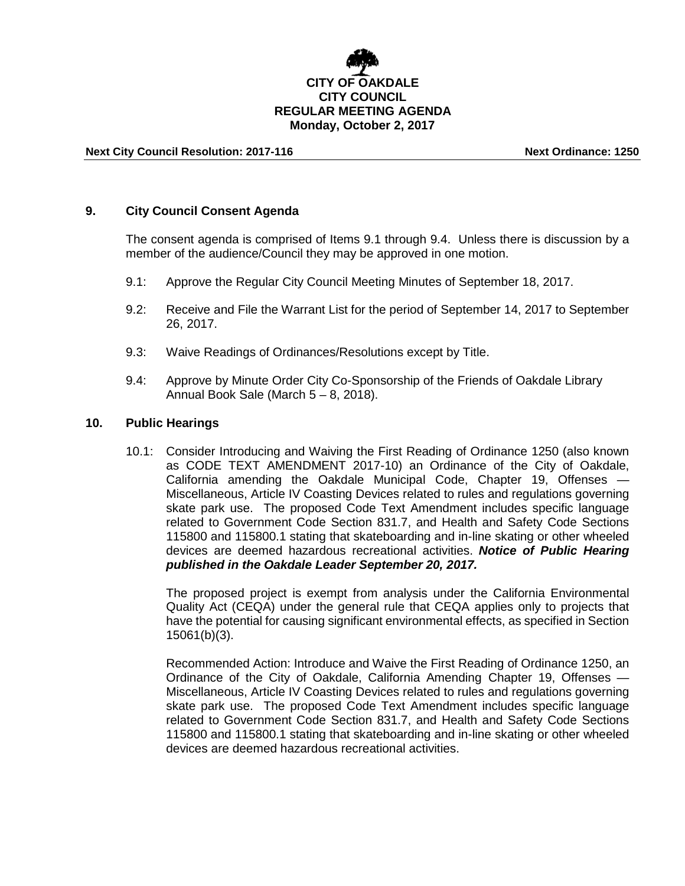# **CITY OF OAKDALE CITY COUNCIL REGULAR MEETING AGENDA Monday, October 2, 2017**

### **Next City Council Resolution: 2017-116 Next Ordinance: 1250**

### **9. City Council Consent Agenda**

The consent agenda is comprised of Items 9.1 through 9.4. Unless there is discussion by a member of the audience/Council they may be approved in one motion.

- 9.1: Approve the Regular City Council Meeting Minutes of September 18, 2017.
- 9.2: Receive and File the Warrant List for the period of September 14, 2017 to September 26, 2017.
- 9.3: Waive Readings of Ordinances/Resolutions except by Title.
- 9.4: Approve by Minute Order City Co-Sponsorship of the Friends of Oakdale Library Annual Book Sale (March 5 – 8, 2018).

### **10. Public Hearings**

10.1: Consider Introducing and Waiving the First Reading of Ordinance 1250 (also known as CODE TEXT AMENDMENT 2017-10) an Ordinance of the City of Oakdale, California amending the Oakdale Municipal Code, Chapter 19, Offenses — Miscellaneous, Article IV Coasting Devices related to rules and regulations governing skate park use. The proposed Code Text Amendment includes specific language related to Government Code Section 831.7, and Health and Safety Code Sections 115800 and 115800.1 stating that skateboarding and in-line skating or other wheeled devices are deemed hazardous recreational activities. *Notice of Public Hearing published in the Oakdale Leader September 20, 2017.*

The proposed project is exempt from analysis under the California Environmental Quality Act (CEQA) under the general rule that CEQA applies only to projects that have the potential for causing significant environmental effects, as specified in Section 15061(b)(3).

Recommended Action: Introduce and Waive the First Reading of Ordinance 1250, an Ordinance of the City of Oakdale, California Amending Chapter 19, Offenses — Miscellaneous, Article IV Coasting Devices related to rules and regulations governing skate park use. The proposed Code Text Amendment includes specific language related to Government Code Section 831.7, and Health and Safety Code Sections 115800 and 115800.1 stating that skateboarding and in-line skating or other wheeled devices are deemed hazardous recreational activities.